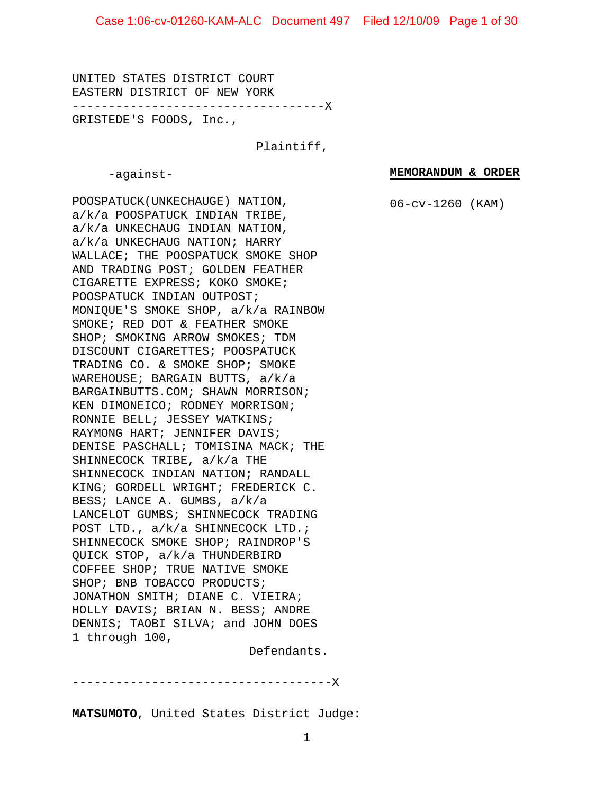UNITED STATES DISTRICT COURT EASTERN DISTRICT OF NEW YORK -----------------------------------X

GRISTEDE'S FOODS, Inc*.*,

Plaintiff,

-against-

**MEMORANDUM & ORDER**

06-cv-1260 (KAM)

POOSPATUCK(UNKECHAUGE) NATION, a/k/a POOSPATUCK INDIAN TRIBE, a/k/a UNKECHAUG INDIAN NATION, a/k/a UNKECHAUG NATION; HARRY WALLACE; THE POOSPATUCK SMOKE SHOP AND TRADING POST; GOLDEN FEATHER CIGARETTE EXPRESS; KOKO SMOKE; POOSPATUCK INDIAN OUTPOST; MONIQUE'S SMOKE SHOP, a/k/a RAINBOW SMOKE; RED DOT & FEATHER SMOKE SHOP; SMOKING ARROW SMOKES; TDM DISCOUNT CIGARETTES; POOSPATUCK TRADING CO. & SMOKE SHOP; SMOKE WAREHOUSE; BARGAIN BUTTS, a/k/a BARGAINBUTTS.COM; SHAWN MORRISON; KEN DIMONEICO; RODNEY MORRISON; RONNIE BELL; JESSEY WATKINS; RAYMONG HART; JENNIFER DAVIS; DENISE PASCHALL; TOMISINA MACK; THE SHINNECOCK TRIBE, a/k/a THE SHINNECOCK INDIAN NATION; RANDALL KING; GORDELL WRIGHT; FREDERICK C. BESS; LANCE A. GUMBS, a/k/a LANCELOT GUMBS; SHINNECOCK TRADING POST LTD., a/k/a SHINNECOCK LTD.; SHINNECOCK SMOKE SHOP; RAINDROP'S QUICK STOP, a/k/a THUNDERBIRD COFFEE SHOP; TRUE NATIVE SMOKE SHOP; BNB TOBACCO PRODUCTS; JONATHON SMITH; DIANE C. VIEIRA; HOLLY DAVIS; BRIAN N. BESS; ANDRE DENNIS; TAOBI SILVA; and JOHN DOES 1 through 100,

Defendants.

------------------------------------X

**MATSUMOTO**, United States District Judge: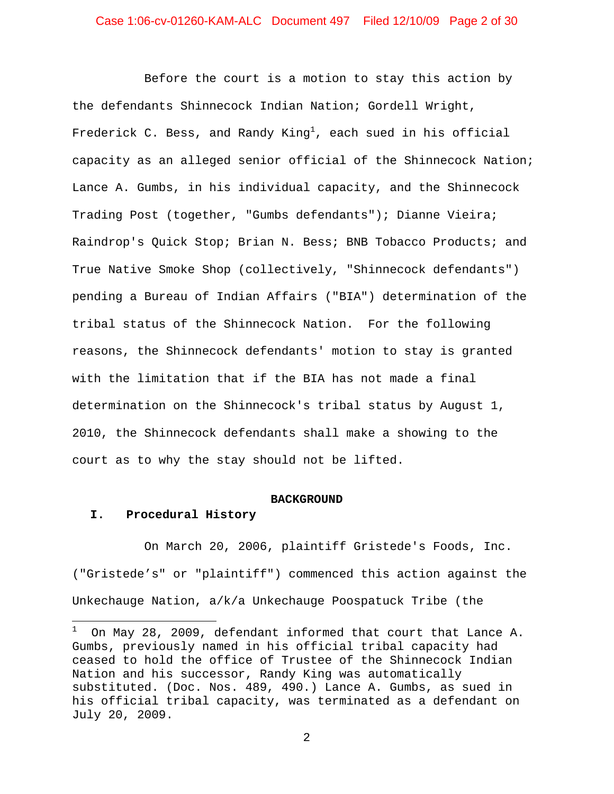Before the court is a motion to stay this action by the defendants Shinnecock Indian Nation; Gordell Wright, Frederick C. Bess, and Randy King $^{\rm l}$ , each sued in his official capacity as an alleged senior official of the Shinnecock Nation; Lance A. Gumbs, in his individual capacity, and the Shinnecock Trading Post (together, "Gumbs defendants"); Dianne Vieira; Raindrop's Quick Stop; Brian N. Bess; BNB Tobacco Products; and True Native Smoke Shop (collectively, "Shinnecock defendants") pending a Bureau of Indian Affairs ("BIA") determination of the tribal status of the Shinnecock Nation. For the following reasons, the Shinnecock defendants' motion to stay is granted with the limitation that if the BIA has not made a final determination on the Shinnecock's tribal status by August 1, 2010, the Shinnecock defendants shall make a showing to the court as to why the stay should not be lifted.

#### **BACKGROUND**

#### **I. Procedural History**

On March 20, 2006, plaintiff Gristede's Foods, Inc. ("Gristede's" or "plaintiff") commenced this action against the Unkechauge Nation, a/k/a Unkechauge Poospatuck Tribe (the

<sup>1</sup> On May 28, 2009, defendant informed that court that Lance A. Gumbs, previously named in his official tribal capacity had ceased to hold the office of Trustee of the Shinnecock Indian Nation and his successor, Randy King was automatically substituted. (Doc. Nos. 489, 490.) Lance A. Gumbs, as sued in his official tribal capacity, was terminated as a defendant on July 20, 2009.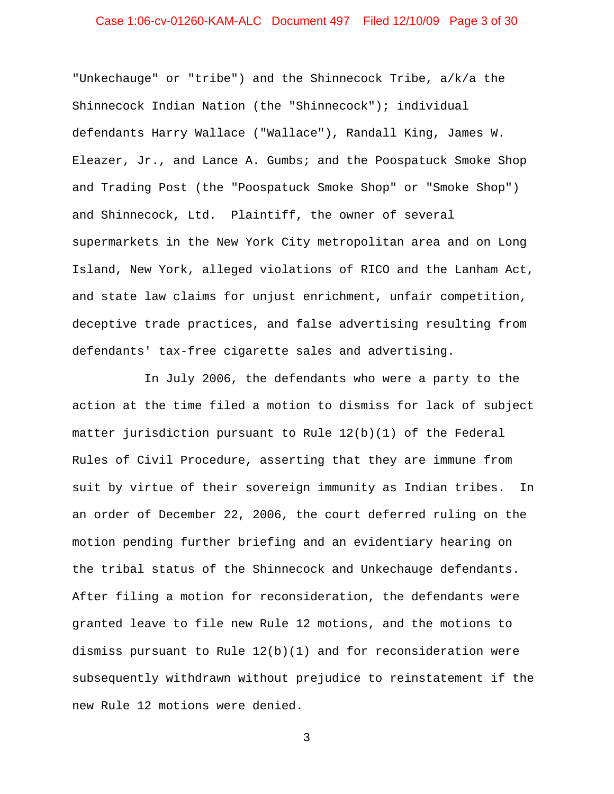# Case 1:06-cv-01260-KAM-ALC Document 497 Filed 12/10/09 Page 3 of 30

"Unkechauge" or "tribe") and the Shinnecock Tribe, a/k/a the Shinnecock Indian Nation (the "Shinnecock"); individual defendants Harry Wallace ("Wallace"), Randall King, James W. Eleazer, Jr., and Lance A. Gumbs; and the Poospatuck Smoke Shop and Trading Post (the "Poospatuck Smoke Shop" or "Smoke Shop") and Shinnecock, Ltd. Plaintiff, the owner of several supermarkets in the New York City metropolitan area and on Long Island, New York, alleged violations of RICO and the Lanham Act, and state law claims for unjust enrichment, unfair competition, deceptive trade practices, and false advertising resulting from defendants' tax-free cigarette sales and advertising.

In July 2006, the defendants who were a party to the action at the time filed a motion to dismiss for lack of subject matter jurisdiction pursuant to Rule 12(b)(1) of the Federal Rules of Civil Procedure, asserting that they are immune from suit by virtue of their sovereign immunity as Indian tribes. In an order of December 22, 2006, the court deferred ruling on the motion pending further briefing and an evidentiary hearing on the tribal status of the Shinnecock and Unkechauge defendants. After filing a motion for reconsideration, the defendants were granted leave to file new Rule 12 motions, and the motions to dismiss pursuant to Rule  $12(b)(1)$  and for reconsideration were subsequently withdrawn without prejudice to reinstatement if the new Rule 12 motions were denied.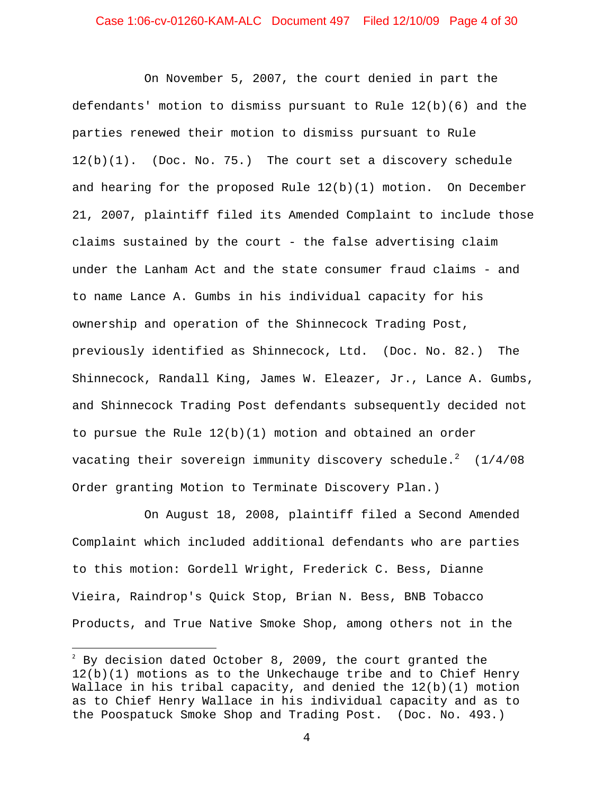# Case 1:06-cv-01260-KAM-ALC Document 497 Filed 12/10/09 Page 4 of 30

On November 5, 2007, the court denied in part the defendants' motion to dismiss pursuant to Rule 12(b)(6) and the parties renewed their motion to dismiss pursuant to Rule 12(b)(1). (Doc. No. 75.) The court set a discovery schedule and hearing for the proposed Rule  $12(b)(1)$  motion. On December 21, 2007, plaintiff filed its Amended Complaint to include those claims sustained by the court - the false advertising claim under the Lanham Act and the state consumer fraud claims - and to name Lance A. Gumbs in his individual capacity for his ownership and operation of the Shinnecock Trading Post, previously identified as Shinnecock, Ltd. (Doc. No. 82.) The Shinnecock, Randall King, James W. Eleazer, Jr., Lance A. Gumbs, and Shinnecock Trading Post defendants subsequently decided not to pursue the Rule  $12(b)(1)$  motion and obtained an order vacating their sovereign immunity discovery schedule. $^2$  (1/4/08 Order granting Motion to Terminate Discovery Plan.)

On August 18, 2008, plaintiff filed a Second Amended Complaint which included additional defendants who are parties to this motion: Gordell Wright, Frederick C. Bess, Dianne Vieira, Raindrop's Quick Stop, Brian N. Bess, BNB Tobacco Products, and True Native Smoke Shop, among others not in the

 $^2$  By decision dated October 8, 2009, the court granted the 12(b)(1) motions as to the Unkechauge tribe and to Chief Henry Wallace in his tribal capacity, and denied the 12(b)(1) motion as to Chief Henry Wallace in his individual capacity and as to the Poospatuck Smoke Shop and Trading Post. (Doc. No. 493.)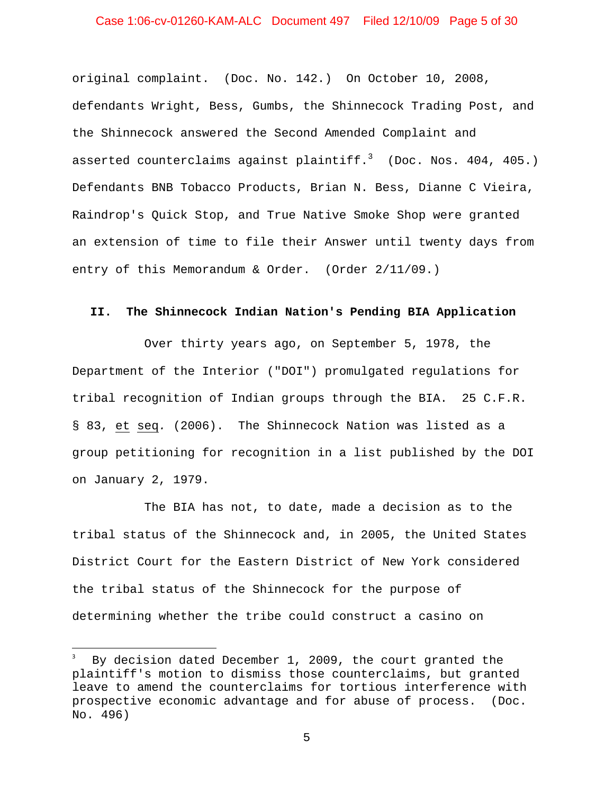# Case 1:06-cv-01260-KAM-ALC Document 497 Filed 12/10/09 Page 5 of 30

original complaint. (Doc. No. 142.) On October 10, 2008, defendants Wright, Bess, Gumbs, the Shinnecock Trading Post, and the Shinnecock answered the Second Amended Complaint and asserted counterclaims against plaintiff. $^3$  (Doc. Nos. 404, 405.) Defendants BNB Tobacco Products, Brian N. Bess, Dianne C Vieira, Raindrop's Quick Stop, and True Native Smoke Shop were granted an extension of time to file their Answer until twenty days from entry of this Memorandum & Order. (Order 2/11/09.)

#### **II. The Shinnecock Indian Nation's Pending BIA Application**

Over thirty years ago, on September 5, 1978, the Department of the Interior ("DOI") promulgated regulations for tribal recognition of Indian groups through the BIA. 25 C.F.R. § 83, et seq*.* (2006). The Shinnecock Nation was listed as a group petitioning for recognition in a list published by the DOI on January 2, 1979.

The BIA has not, to date, made a decision as to the tribal status of the Shinnecock and, in 2005, the United States District Court for the Eastern District of New York considered the tribal status of the Shinnecock for the purpose of determining whether the tribe could construct a casino on

By decision dated December 1, 2009, the court granted the plaintiff's motion to dismiss those counterclaims, but granted leave to amend the counterclaims for tortious interference with prospective economic advantage and for abuse of process. (Doc. No. 496)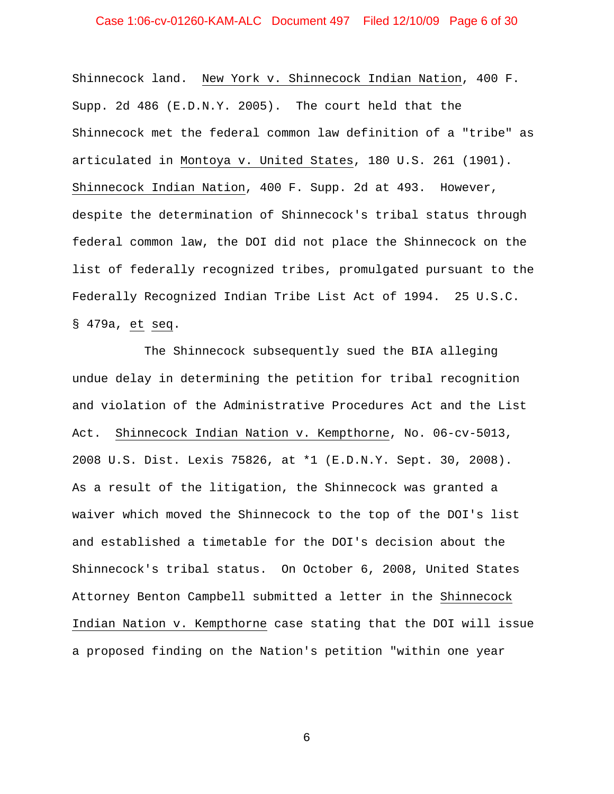# Case 1:06-cv-01260-KAM-ALC Document 497 Filed 12/10/09 Page 6 of 30

Shinnecock land. New York v. Shinnecock Indian Nation, 400 F. Supp. 2d 486 (E.D.N.Y. 2005). The court held that the Shinnecock met the federal common law definition of a "tribe" as articulated in Montoya v. United States, 180 U.S. 261 (1901). Shinnecock Indian Nation, 400 F. Supp. 2d at 493. However, despite the determination of Shinnecock's tribal status through federal common law, the DOI did not place the Shinnecock on the list of federally recognized tribes, promulgated pursuant to the Federally Recognized Indian Tribe List Act of 1994. 25 U.S.C. § 479a, et seq.

The Shinnecock subsequently sued the BIA alleging undue delay in determining the petition for tribal recognition and violation of the Administrative Procedures Act and the List Act. Shinnecock Indian Nation v. Kempthorne, No. 06-cv-5013, 2008 U.S. Dist. Lexis 75826, at \*1 (E.D.N.Y. Sept. 30, 2008). As a result of the litigation, the Shinnecock was granted a waiver which moved the Shinnecock to the top of the DOI's list and established a timetable for the DOI's decision about the Shinnecock's tribal status. On October 6, 2008, United States Attorney Benton Campbell submitted a letter in the Shinnecock Indian Nation v. Kempthorne case stating that the DOI will issue a proposed finding on the Nation's petition "within one year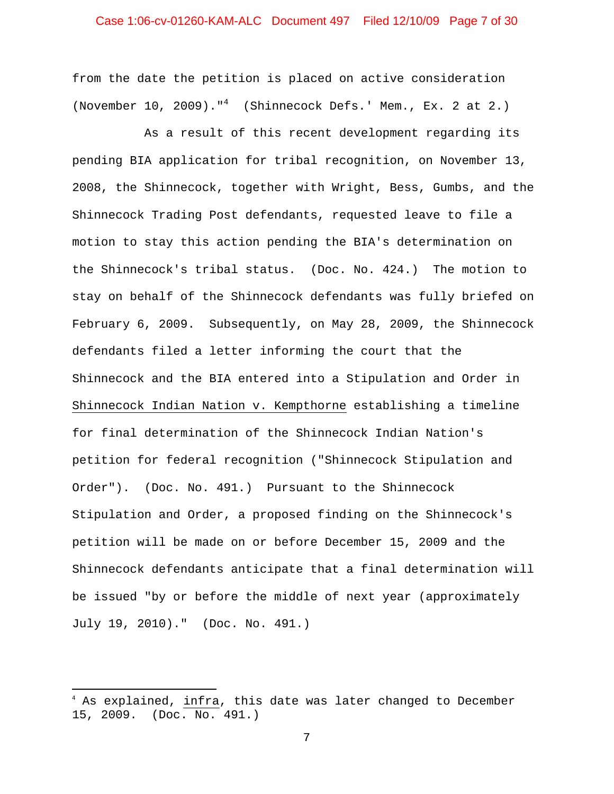# Case 1:06-cv-01260-KAM-ALC Document 497 Filed 12/10/09 Page 7 of 30

from the date the petition is placed on active consideration (November 10, 2009)."<sup>4</sup> (Shinnecock Defs.' Mem., Ex. 2 at 2.)

As a result of this recent development regarding its pending BIA application for tribal recognition, on November 13, 2008, the Shinnecock, together with Wright, Bess, Gumbs, and the Shinnecock Trading Post defendants, requested leave to file a motion to stay this action pending the BIA's determination on the Shinnecock's tribal status. (Doc. No. 424.) The motion to stay on behalf of the Shinnecock defendants was fully briefed on February 6, 2009. Subsequently, on May 28, 2009, the Shinnecock defendants filed a letter informing the court that the Shinnecock and the BIA entered into a Stipulation and Order in Shinnecock Indian Nation v. Kempthorne establishing a timeline for final determination of the Shinnecock Indian Nation's petition for federal recognition ("Shinnecock Stipulation and Order"). (Doc. No. 491.) Pursuant to the Shinnecock Stipulation and Order, a proposed finding on the Shinnecock's petition will be made on or before December 15, 2009 and the Shinnecock defendants anticipate that a final determination will be issued "by or before the middle of next year (approximately July 19, 2010)." (Doc. No. 491.)

<sup>&</sup>lt;sup>4</sup> As explained, <u>infra</u>, this date was later changed to December 15, 2009. (Doc. No. 491.)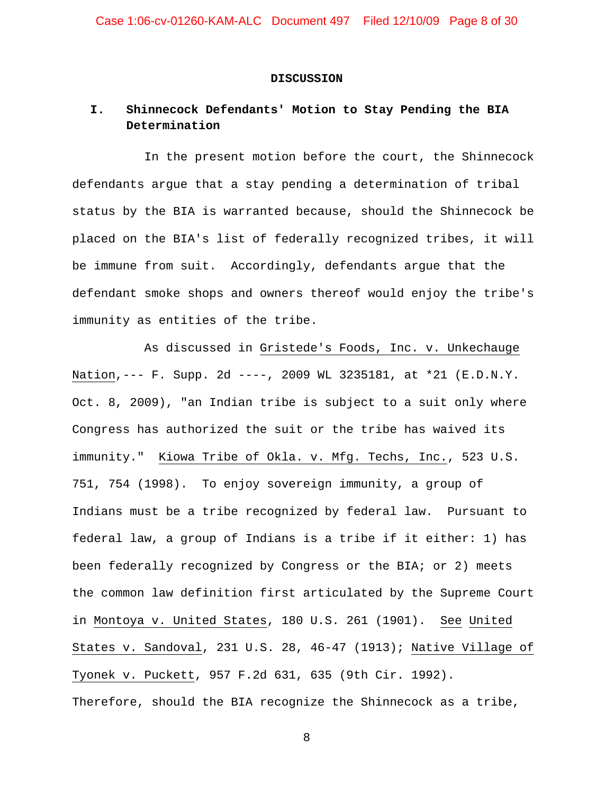#### **DISCUSSION**

# **I. Shinnecock Defendants' Motion to Stay Pending the BIA Determination**

In the present motion before the court, the Shinnecock defendants argue that a stay pending a determination of tribal status by the BIA is warranted because, should the Shinnecock be placed on the BIA's list of federally recognized tribes, it will be immune from suit. Accordingly, defendants argue that the defendant smoke shops and owners thereof would enjoy the tribe's immunity as entities of the tribe.

As discussed in Gristede's Foods, Inc. v. Unkechauge Nation,--- F. Supp. 2d ----, 2009 WL 3235181, at \*21 (E.D.N.Y. Oct. 8, 2009), "an Indian tribe is subject to a suit only where Congress has authorized the suit or the tribe has waived its immunity." Kiowa Tribe of Okla. v. Mfg. Techs, Inc., 523 U.S. 751, 754 (1998). To enjoy sovereign immunity, a group of Indians must be a tribe recognized by federal law. Pursuant to federal law, a group of Indians is a tribe if it either: 1) has been federally recognized by Congress or the BIA; or 2) meets the common law definition first articulated by the Supreme Court in Montoya v. United States, 180 U.S. 261 (1901). See United States v. Sandoval, 231 U.S. 28, 46-47 (1913); Native Village of Tyonek v. Puckett, 957 F.2d 631, 635 (9th Cir. 1992). Therefore, should the BIA recognize the Shinnecock as a tribe,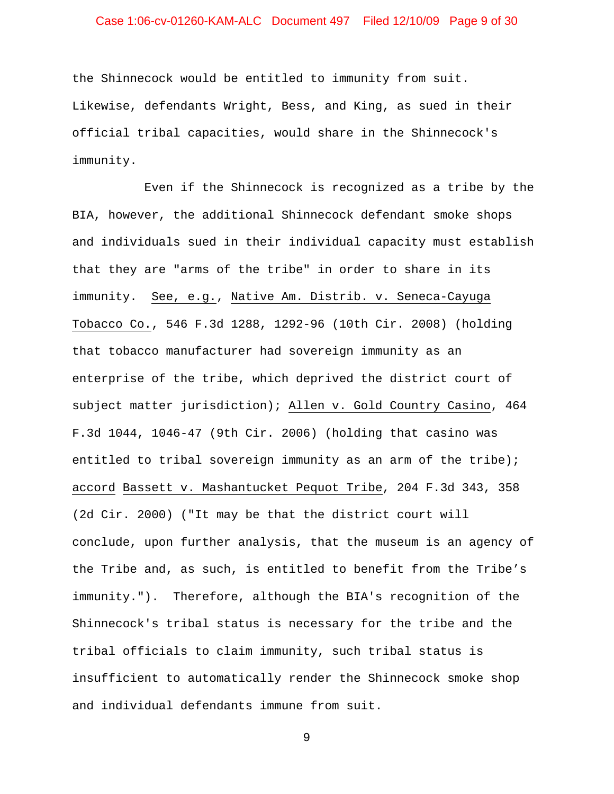# Case 1:06-cv-01260-KAM-ALC Document 497 Filed 12/10/09 Page 9 of 30

the Shinnecock would be entitled to immunity from suit. Likewise, defendants Wright, Bess, and King, as sued in their official tribal capacities, would share in the Shinnecock's immunity.

Even if the Shinnecock is recognized as a tribe by the BIA, however, the additional Shinnecock defendant smoke shops and individuals sued in their individual capacity must establish that they are "arms of the tribe" in order to share in its immunity. See, e.g., Native Am. Distrib. v. Seneca-Cayuga Tobacco Co., 546 F.3d 1288, 1292-96 (10th Cir. 2008) (holding that tobacco manufacturer had sovereign immunity as an enterprise of the tribe, which deprived the district court of subject matter jurisdiction); Allen v. Gold Country Casino, 464 F.3d 1044, 1046-47 (9th Cir. 2006) (holding that casino was entitled to tribal sovereign immunity as an arm of the tribe); accord Bassett v. Mashantucket Pequot Tribe, 204 F.3d 343, 358 (2d Cir. 2000) ("It may be that the district court will conclude, upon further analysis, that the museum is an agency of the Tribe and, as such, is entitled to benefit from the Tribe's immunity."). Therefore, although the BIA's recognition of the Shinnecock's tribal status is necessary for the tribe and the tribal officials to claim immunity, such tribal status is insufficient to automatically render the Shinnecock smoke shop and individual defendants immune from suit.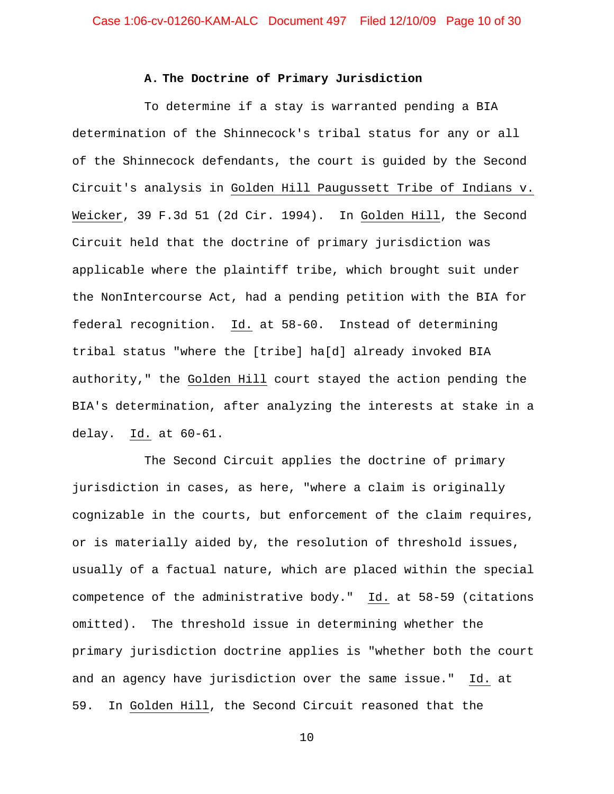#### **A. The Doctrine of Primary Jurisdiction**

To determine if a stay is warranted pending a BIA determination of the Shinnecock's tribal status for any or all of the Shinnecock defendants, the court is guided by the Second Circuit's analysis in Golden Hill Paugussett Tribe of Indians v. Weicker, 39 F.3d 51 (2d Cir. 1994). In Golden Hill, the Second Circuit held that the doctrine of primary jurisdiction was applicable where the plaintiff tribe, which brought suit under the NonIntercourse Act, had a pending petition with the BIA for federal recognition. Id. at 58-60. Instead of determining tribal status "where the [tribe] ha[d] already invoked BIA authority," the Golden Hill court stayed the action pending the BIA's determination, after analyzing the interests at stake in a delay. Id. at 60-61.

The Second Circuit applies the doctrine of primary jurisdiction in cases, as here, "where a claim is originally cognizable in the courts, but enforcement of the claim requires, or is materially aided by, the resolution of threshold issues, usually of a factual nature, which are placed within the special competence of the administrative body." Id. at 58-59 (citations omitted). The threshold issue in determining whether the primary jurisdiction doctrine applies is "whether both the court and an agency have jurisdiction over the same issue." Id. at 59. In Golden Hill, the Second Circuit reasoned that the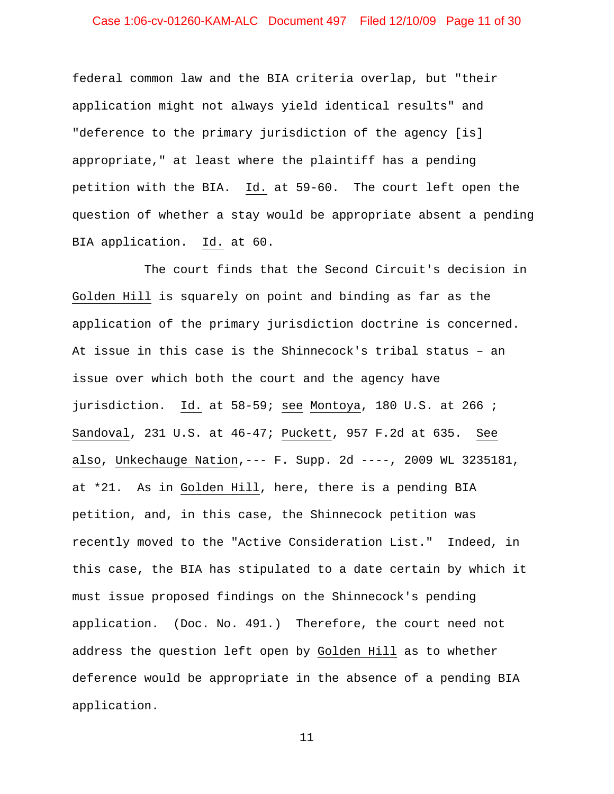# Case 1:06-cv-01260-KAM-ALC Document 497 Filed 12/10/09 Page 11 of 30

federal common law and the BIA criteria overlap, but "their application might not always yield identical results" and "deference to the primary jurisdiction of the agency [is] appropriate," at least where the plaintiff has a pending petition with the BIA. Id. at 59-60. The court left open the question of whether a stay would be appropriate absent a pending BIA application. Id. at 60.

The court finds that the Second Circuit's decision in Golden Hill is squarely on point and binding as far as the application of the primary jurisdiction doctrine is concerned. At issue in this case is the Shinnecock's tribal status – an issue over which both the court and the agency have jurisdiction. Id. at 58-59; see Montoya, 180 U.S. at 266 ; Sandoval, 231 U.S. at 46-47; Puckett, 957 F.2d at 635. See also, Unkechauge Nation,--- F. Supp. 2d ----, 2009 WL 3235181, at \*21. As in Golden Hill, here, there is a pending BIA petition, and, in this case, the Shinnecock petition was recently moved to the "Active Consideration List." Indeed, in this case, the BIA has stipulated to a date certain by which it must issue proposed findings on the Shinnecock's pending application. (Doc. No. 491.) Therefore, the court need not address the question left open by Golden Hill as to whether deference would be appropriate in the absence of a pending BIA application.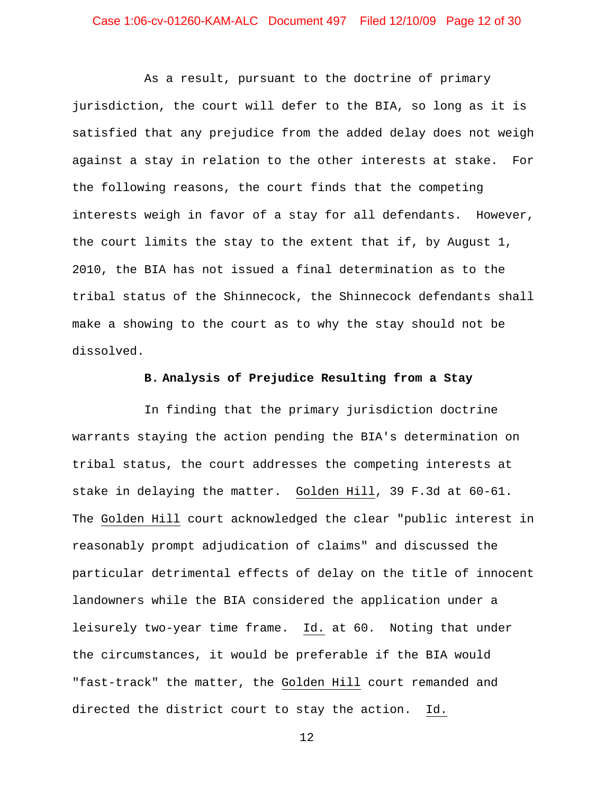# Case 1:06-cv-01260-KAM-ALC Document 497 Filed 12/10/09 Page 12 of 30

As a result, pursuant to the doctrine of primary jurisdiction, the court will defer to the BIA, so long as it is satisfied that any prejudice from the added delay does not weigh against a stay in relation to the other interests at stake. For the following reasons, the court finds that the competing interests weigh in favor of a stay for all defendants. However, the court limits the stay to the extent that if, by August 1, 2010, the BIA has not issued a final determination as to the tribal status of the Shinnecock, the Shinnecock defendants shall make a showing to the court as to why the stay should not be dissolved.

#### **B. Analysis of Prejudice Resulting from a Stay**

In finding that the primary jurisdiction doctrine warrants staying the action pending the BIA's determination on tribal status, the court addresses the competing interests at stake in delaying the matter. Golden Hill, 39 F.3d at 60-61. The Golden Hill court acknowledged the clear "public interest in reasonably prompt adjudication of claims" and discussed the particular detrimental effects of delay on the title of innocent landowners while the BIA considered the application under a leisurely two-year time frame. Id. at 60. Noting that under the circumstances, it would be preferable if the BIA would "fast-track" the matter, the Golden Hill court remanded and directed the district court to stay the action. Id.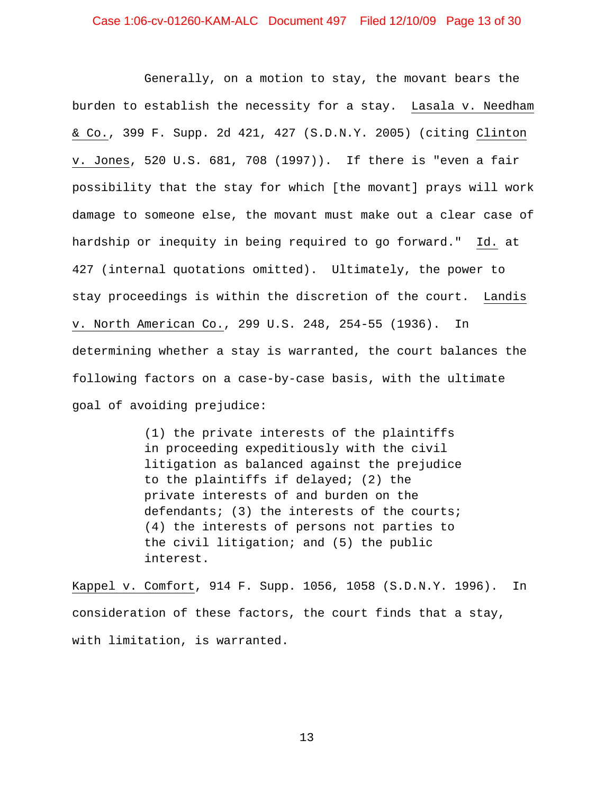# Case 1:06-cv-01260-KAM-ALC Document 497 Filed 12/10/09 Page 13 of 30

Generally, on a motion to stay, the movant bears the burden to establish the necessity for a stay. Lasala v. Needham & Co., 399 F. Supp. 2d 421, 427 (S.D.N.Y. 2005) (citing Clinton v. Jones, 520 U.S. 681, 708 (1997)). If there is "even a fair possibility that the stay for which [the movant] prays will work damage to someone else, the movant must make out a clear case of hardship or inequity in being required to go forward." Id. at 427 (internal quotations omitted). Ultimately, the power to stay proceedings is within the discretion of the court. Landis v. North American Co., 299 U.S. 248, 254-55 (1936). In determining whether a stay is warranted, the court balances the following factors on a case-by-case basis, with the ultimate goal of avoiding prejudice:

> (1) the private interests of the plaintiffs in proceeding expeditiously with the civil litigation as balanced against the prejudice to the plaintiffs if delayed; (2) the private interests of and burden on the defendants; (3) the interests of the courts; (4) the interests of persons not parties to the civil litigation; and (5) the public interest.

Kappel v. Comfort, 914 F. Supp. 1056, 1058 (S.D.N.Y. 1996). In consideration of these factors, the court finds that a stay, with limitation, is warranted.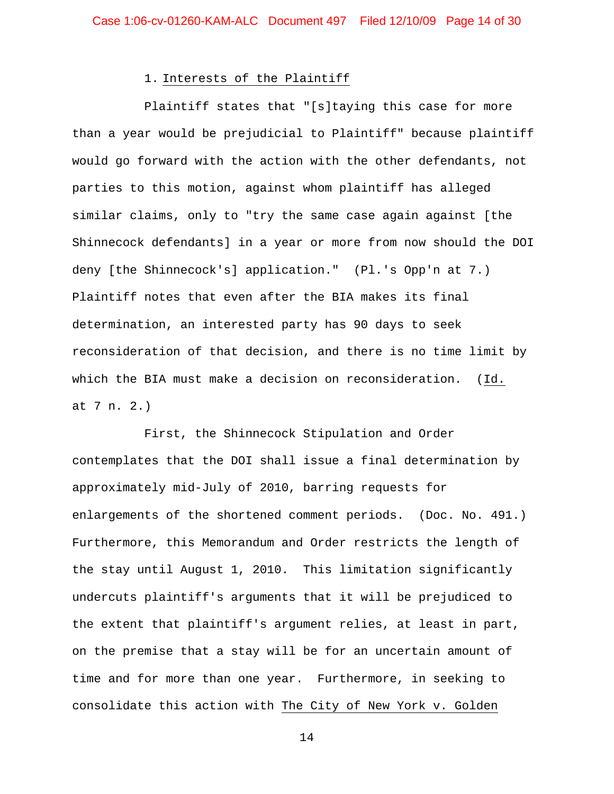#### 1. Interests of the Plaintiff

Plaintiff states that "[s]taying this case for more than a year would be prejudicial to Plaintiff" because plaintiff would go forward with the action with the other defendants, not parties to this motion, against whom plaintiff has alleged similar claims, only to "try the same case again against [the Shinnecock defendants] in a year or more from now should the DOI deny [the Shinnecock's] application." (Pl.'s Opp'n at 7.) Plaintiff notes that even after the BIA makes its final determination, an interested party has 90 days to seek reconsideration of that decision, and there is no time limit by which the BIA must make a decision on reconsideration. (Id. at 7 n. 2.)

First, the Shinnecock Stipulation and Order contemplates that the DOI shall issue a final determination by approximately mid-July of 2010, barring requests for enlargements of the shortened comment periods. (Doc. No. 491.) Furthermore, this Memorandum and Order restricts the length of the stay until August 1, 2010. This limitation significantly undercuts plaintiff's arguments that it will be prejudiced to the extent that plaintiff's argument relies, at least in part, on the premise that a stay will be for an uncertain amount of time and for more than one year. Furthermore, in seeking to consolidate this action with The City of New York v. Golden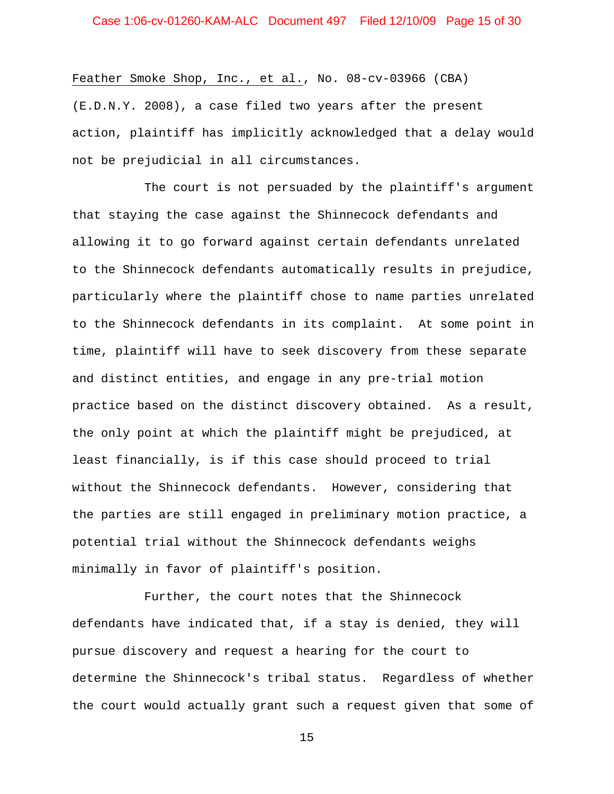Feather Smoke Shop, Inc., et al., No. 08-cv-03966 (CBA)

(E.D.N.Y. 2008), a case filed two years after the present action, plaintiff has implicitly acknowledged that a delay would not be prejudicial in all circumstances.

The court is not persuaded by the plaintiff's argument that staying the case against the Shinnecock defendants and allowing it to go forward against certain defendants unrelated to the Shinnecock defendants automatically results in prejudice, particularly where the plaintiff chose to name parties unrelated to the Shinnecock defendants in its complaint. At some point in time, plaintiff will have to seek discovery from these separate and distinct entities, and engage in any pre-trial motion practice based on the distinct discovery obtained. As a result, the only point at which the plaintiff might be prejudiced, at least financially, is if this case should proceed to trial without the Shinnecock defendants. However, considering that the parties are still engaged in preliminary motion practice, a potential trial without the Shinnecock defendants weighs minimally in favor of plaintiff's position.

Further, the court notes that the Shinnecock defendants have indicated that, if a stay is denied, they will pursue discovery and request a hearing for the court to determine the Shinnecock's tribal status. Regardless of whether the court would actually grant such a request given that some of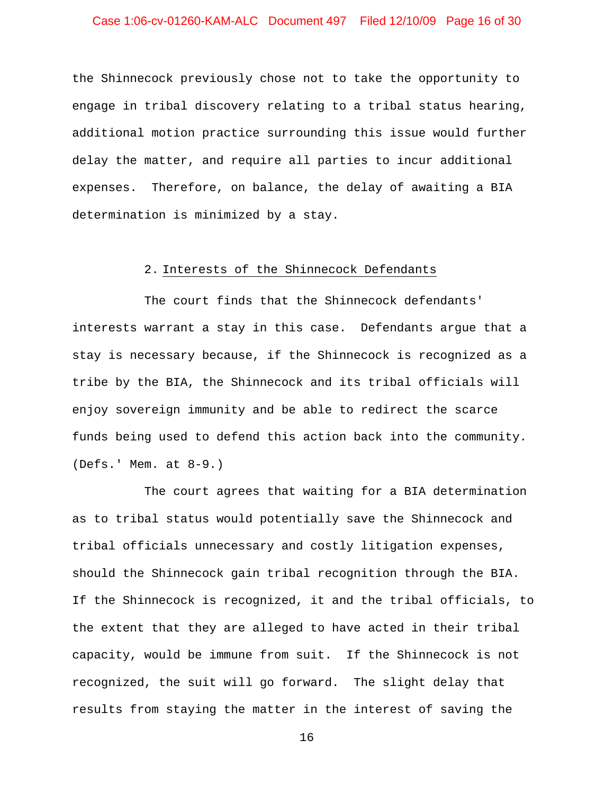# Case 1:06-cv-01260-KAM-ALC Document 497 Filed 12/10/09 Page 16 of 30

the Shinnecock previously chose not to take the opportunity to engage in tribal discovery relating to a tribal status hearing, additional motion practice surrounding this issue would further delay the matter, and require all parties to incur additional expenses. Therefore, on balance, the delay of awaiting a BIA determination is minimized by a stay.

#### 2. Interests of the Shinnecock Defendants

The court finds that the Shinnecock defendants' interests warrant a stay in this case. Defendants argue that a stay is necessary because, if the Shinnecock is recognized as a tribe by the BIA, the Shinnecock and its tribal officials will enjoy sovereign immunity and be able to redirect the scarce funds being used to defend this action back into the community. (Defs.' Mem. at 8-9.)

The court agrees that waiting for a BIA determination as to tribal status would potentially save the Shinnecock and tribal officials unnecessary and costly litigation expenses, should the Shinnecock gain tribal recognition through the BIA. If the Shinnecock is recognized, it and the tribal officials, to the extent that they are alleged to have acted in their tribal capacity, would be immune from suit. If the Shinnecock is not recognized, the suit will go forward. The slight delay that results from staying the matter in the interest of saving the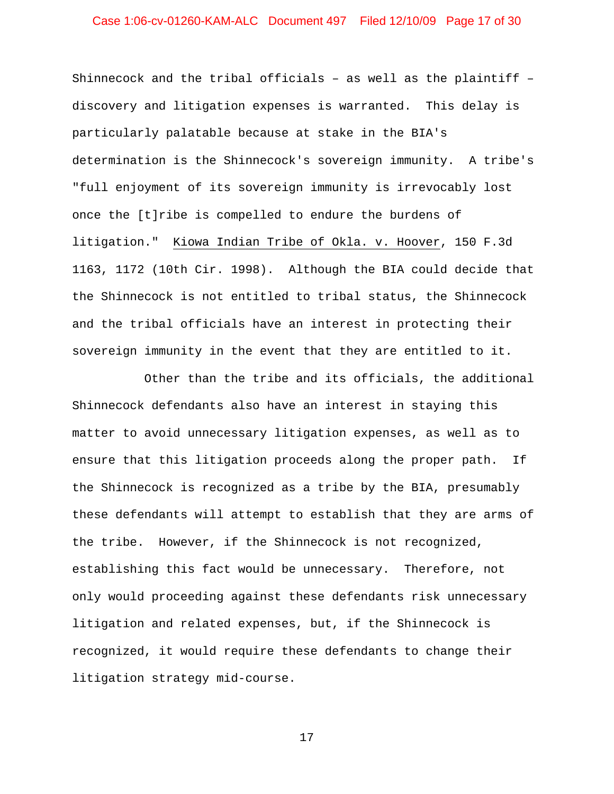# Case 1:06-cv-01260-KAM-ALC Document 497 Filed 12/10/09 Page 17 of 30

Shinnecock and the tribal officials – as well as the plaintiff – discovery and litigation expenses is warranted. This delay is particularly palatable because at stake in the BIA's determination is the Shinnecock's sovereign immunity. A tribe's "full enjoyment of its sovereign immunity is irrevocably lost once the [t]ribe is compelled to endure the burdens of litigation." Kiowa Indian Tribe of Okla. v. Hoover, 150 F.3d 1163, 1172 (10th Cir. 1998). Although the BIA could decide that the Shinnecock is not entitled to tribal status, the Shinnecock and the tribal officials have an interest in protecting their sovereign immunity in the event that they are entitled to it.

Other than the tribe and its officials, the additional Shinnecock defendants also have an interest in staying this matter to avoid unnecessary litigation expenses, as well as to ensure that this litigation proceeds along the proper path. If the Shinnecock is recognized as a tribe by the BIA, presumably these defendants will attempt to establish that they are arms of the tribe. However, if the Shinnecock is not recognized, establishing this fact would be unnecessary. Therefore, not only would proceeding against these defendants risk unnecessary litigation and related expenses, but, if the Shinnecock is recognized, it would require these defendants to change their litigation strategy mid-course.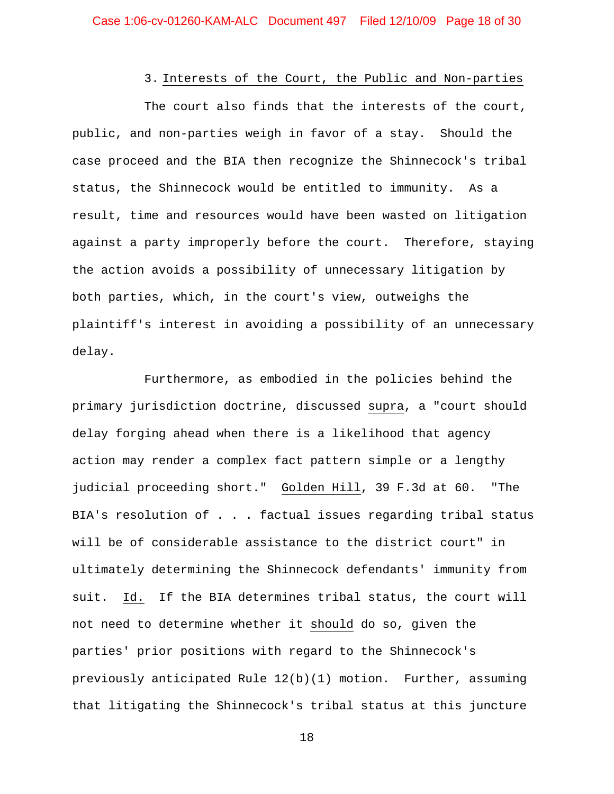# 3. Interests of the Court, the Public and Non-parties

The court also finds that the interests of the court, public, and non-parties weigh in favor of a stay. Should the case proceed and the BIA then recognize the Shinnecock's tribal status, the Shinnecock would be entitled to immunity. As a result, time and resources would have been wasted on litigation against a party improperly before the court. Therefore, staying the action avoids a possibility of unnecessary litigation by both parties, which, in the court's view, outweighs the plaintiff's interest in avoiding a possibility of an unnecessary delay.

Furthermore, as embodied in the policies behind the primary jurisdiction doctrine, discussed supra, a "court should delay forging ahead when there is a likelihood that agency action may render a complex fact pattern simple or a lengthy judicial proceeding short." Golden Hill, 39 F.3d at 60. "The BIA's resolution of . . . factual issues regarding tribal status will be of considerable assistance to the district court" in ultimately determining the Shinnecock defendants' immunity from suit. Id. If the BIA determines tribal status, the court will not need to determine whether it should do so, given the parties' prior positions with regard to the Shinnecock's previously anticipated Rule 12(b)(1) motion. Further, assuming that litigating the Shinnecock's tribal status at this juncture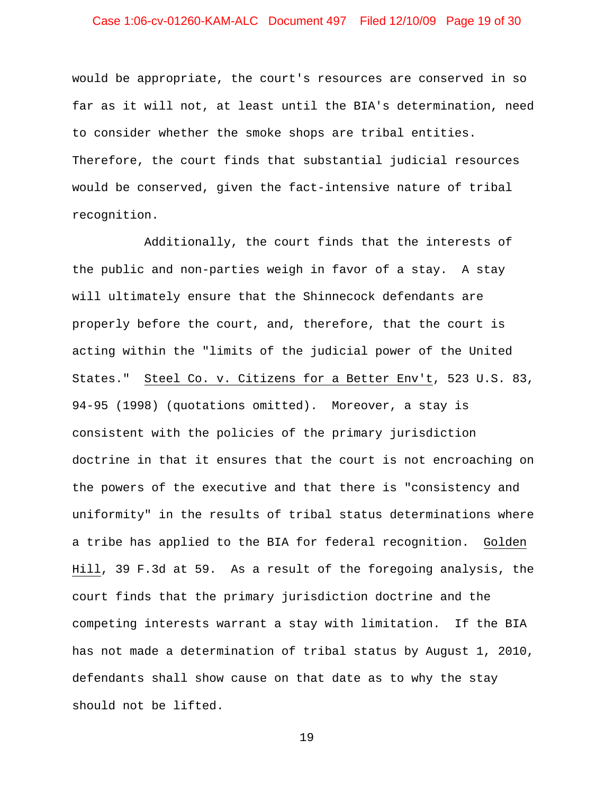# Case 1:06-cv-01260-KAM-ALC Document 497 Filed 12/10/09 Page 19 of 30

would be appropriate, the court's resources are conserved in so far as it will not, at least until the BIA's determination, need to consider whether the smoke shops are tribal entities. Therefore, the court finds that substantial judicial resources would be conserved, given the fact-intensive nature of tribal recognition.

Additionally, the court finds that the interests of the public and non-parties weigh in favor of a stay. A stay will ultimately ensure that the Shinnecock defendants are properly before the court, and, therefore, that the court is acting within the "limits of the judicial power of the United States." Steel Co. v. Citizens for a Better Env't, 523 U.S. 83, 94-95 (1998) (quotations omitted). Moreover, a stay is consistent with the policies of the primary jurisdiction doctrine in that it ensures that the court is not encroaching on the powers of the executive and that there is "consistency and uniformity" in the results of tribal status determinations where a tribe has applied to the BIA for federal recognition. Golden Hill, 39 F.3d at 59. As a result of the foregoing analysis, the court finds that the primary jurisdiction doctrine and the competing interests warrant a stay with limitation. If the BIA has not made a determination of tribal status by August 1, 2010, defendants shall show cause on that date as to why the stay should not be lifted.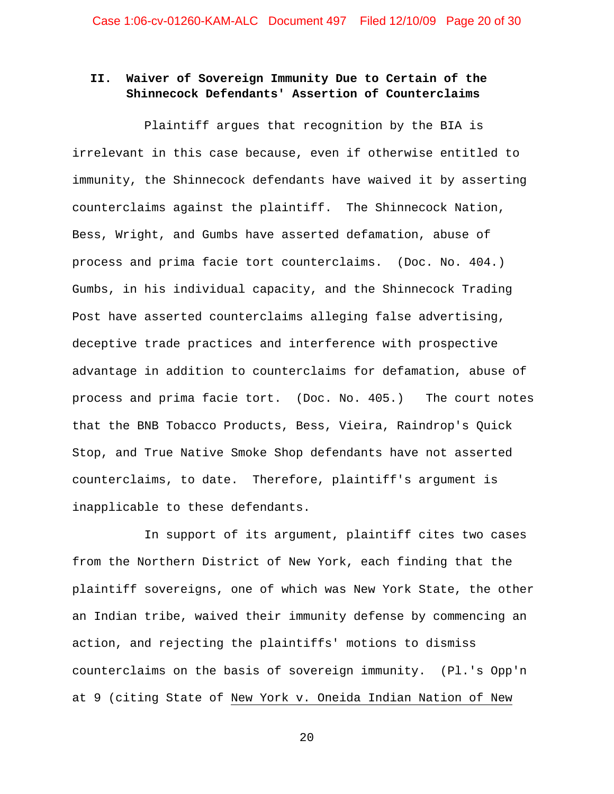# **II. Waiver of Sovereign Immunity Due to Certain of the Shinnecock Defendants' Assertion of Counterclaims**

Plaintiff argues that recognition by the BIA is irrelevant in this case because, even if otherwise entitled to immunity, the Shinnecock defendants have waived it by asserting counterclaims against the plaintiff. The Shinnecock Nation, Bess, Wright, and Gumbs have asserted defamation, abuse of process and prima facie tort counterclaims. (Doc. No. 404.) Gumbs, in his individual capacity, and the Shinnecock Trading Post have asserted counterclaims alleging false advertising, deceptive trade practices and interference with prospective advantage in addition to counterclaims for defamation, abuse of process and prima facie tort. (Doc. No. 405.) The court notes that the BNB Tobacco Products, Bess, Vieira, Raindrop's Quick Stop, and True Native Smoke Shop defendants have not asserted counterclaims, to date. Therefore, plaintiff's argument is inapplicable to these defendants.

In support of its argument, plaintiff cites two cases from the Northern District of New York, each finding that the plaintiff sovereigns, one of which was New York State, the other an Indian tribe, waived their immunity defense by commencing an action, and rejecting the plaintiffs' motions to dismiss counterclaims on the basis of sovereign immunity. (Pl.'s Opp'n at 9 (citing State of New York v. Oneida Indian Nation of New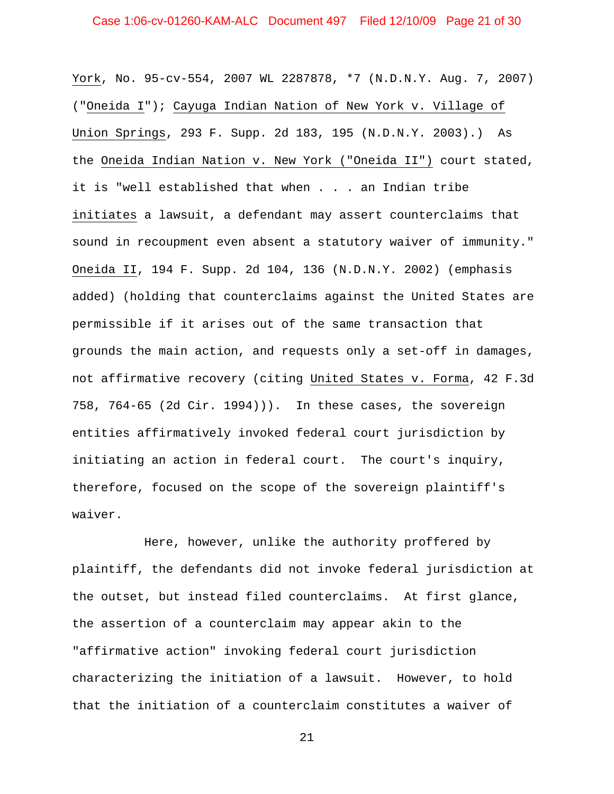York, No. 95-cv-554, 2007 WL 2287878, \*7 (N.D.N.Y. Aug. 7, 2007) ("Oneida I"); Cayuga Indian Nation of New York v. Village of Union Springs, 293 F. Supp. 2d 183, 195 (N.D.N.Y. 2003).) As the Oneida Indian Nation v. New York ("Oneida II") court stated, it is "well established that when . . . an Indian tribe initiates a lawsuit, a defendant may assert counterclaims that sound in recoupment even absent a statutory waiver of immunity." Oneida II, 194 F. Supp. 2d 104, 136 (N.D.N.Y. 2002) (emphasis added) (holding that counterclaims against the United States are permissible if it arises out of the same transaction that grounds the main action, and requests only a set-off in damages, not affirmative recovery (citing United States v. Forma, 42 F.3d 758, 764-65 (2d Cir. 1994))). In these cases, the sovereign entities affirmatively invoked federal court jurisdiction by initiating an action in federal court. The court's inquiry, therefore, focused on the scope of the sovereign plaintiff's waiver.

Here, however, unlike the authority proffered by plaintiff, the defendants did not invoke federal jurisdiction at the outset, but instead filed counterclaims. At first glance, the assertion of a counterclaim may appear akin to the "affirmative action" invoking federal court jurisdiction characterizing the initiation of a lawsuit. However, to hold that the initiation of a counterclaim constitutes a waiver of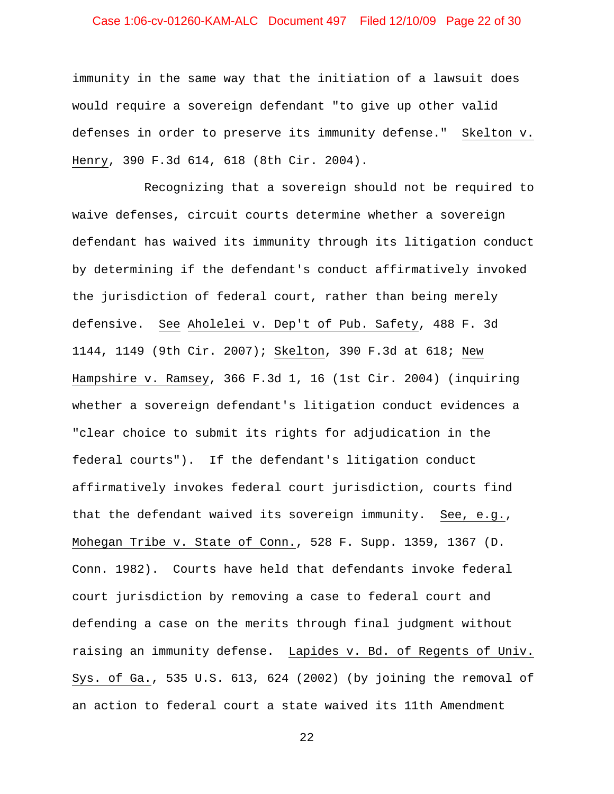# Case 1:06-cv-01260-KAM-ALC Document 497 Filed 12/10/09 Page 22 of 30

immunity in the same way that the initiation of a lawsuit does would require a sovereign defendant "to give up other valid defenses in order to preserve its immunity defense." Skelton v. Henry, 390 F.3d 614, 618 (8th Cir. 2004).

Recognizing that a sovereign should not be required to waive defenses, circuit courts determine whether a sovereign defendant has waived its immunity through its litigation conduct by determining if the defendant's conduct affirmatively invoked the jurisdiction of federal court, rather than being merely defensive. See Aholelei v. Dep't of Pub. Safety, 488 F. 3d 1144, 1149 (9th Cir. 2007); Skelton, 390 F.3d at 618; New Hampshire v. Ramsey, 366 F.3d 1, 16 (1st Cir. 2004) (inquiring whether a sovereign defendant's litigation conduct evidences a "clear choice to submit its rights for adjudication in the federal courts"). If the defendant's litigation conduct affirmatively invokes federal court jurisdiction, courts find that the defendant waived its sovereign immunity. See, e.g., Mohegan Tribe v. State of Conn., 528 F. Supp. 1359, 1367 (D. Conn. 1982). Courts have held that defendants invoke federal court jurisdiction by removing a case to federal court and defending a case on the merits through final judgment without raising an immunity defense. Lapides v. Bd. of Regents of Univ. Sys. of Ga., 535 U.S. 613, 624 (2002) (by joining the removal of an action to federal court a state waived its 11th Amendment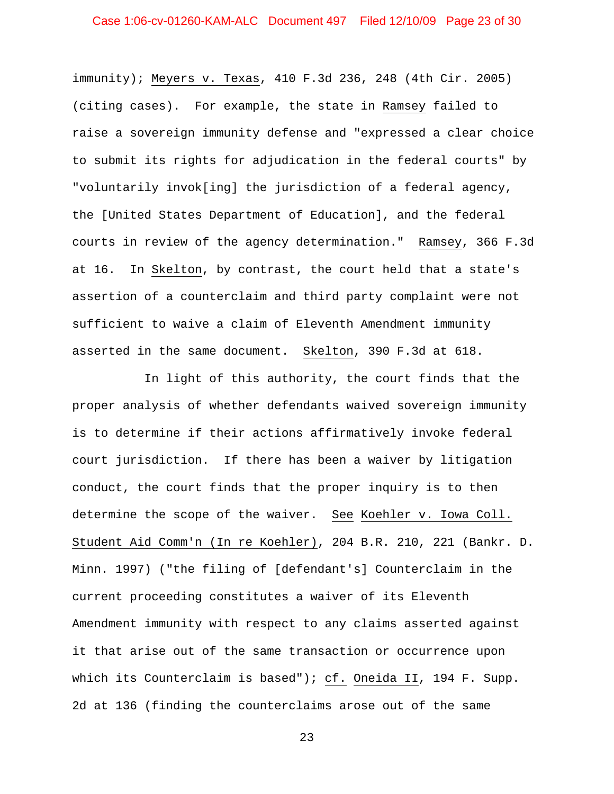# Case 1:06-cv-01260-KAM-ALC Document 497 Filed 12/10/09 Page 23 of 30

immunity); Meyers v. Texas, 410 F.3d 236, 248 (4th Cir. 2005) (citing cases). For example, the state in Ramsey failed to raise a sovereign immunity defense and "expressed a clear choice to submit its rights for adjudication in the federal courts" by "voluntarily invok[ing] the jurisdiction of a federal agency, the [United States Department of Education], and the federal courts in review of the agency determination." Ramsey, 366 F.3d at 16. In Skelton, by contrast, the court held that a state's assertion of a counterclaim and third party complaint were not sufficient to waive a claim of Eleventh Amendment immunity asserted in the same document. Skelton, 390 F.3d at 618.

In light of this authority, the court finds that the proper analysis of whether defendants waived sovereign immunity is to determine if their actions affirmatively invoke federal court jurisdiction. If there has been a waiver by litigation conduct, the court finds that the proper inquiry is to then determine the scope of the waiver. See Koehler v. Iowa Coll. Student Aid Comm'n (In re Koehler), 204 B.R. 210, 221 (Bankr. D. Minn. 1997) ("the filing of [defendant's] Counterclaim in the current proceeding constitutes a waiver of its Eleventh Amendment immunity with respect to any claims asserted against it that arise out of the same transaction or occurrence upon which its Counterclaim is based"); cf. Oneida II, 194 F. Supp. 2d at 136 (finding the counterclaims arose out of the same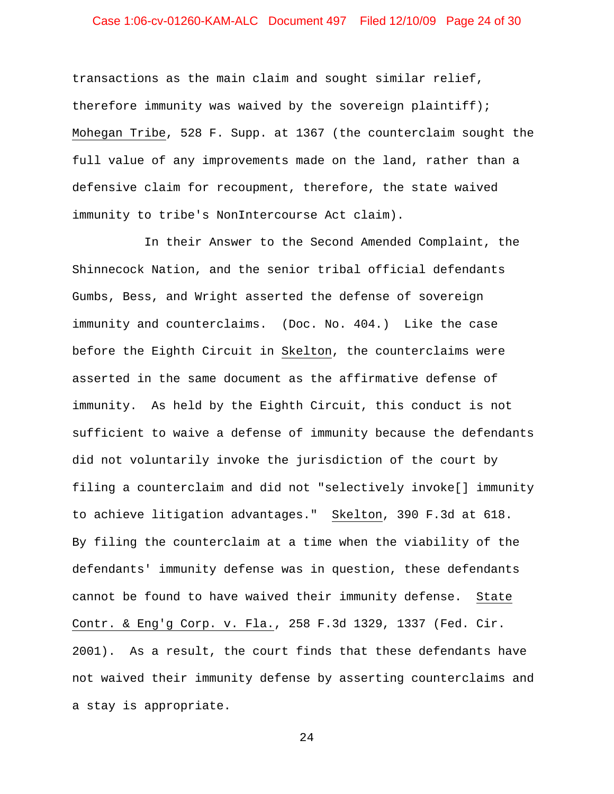# Case 1:06-cv-01260-KAM-ALC Document 497 Filed 12/10/09 Page 24 of 30

transactions as the main claim and sought similar relief, therefore immunity was waived by the sovereign plaintiff); Mohegan Tribe, 528 F. Supp. at 1367 (the counterclaim sought the full value of any improvements made on the land, rather than a defensive claim for recoupment, therefore, the state waived immunity to tribe's NonIntercourse Act claim).

In their Answer to the Second Amended Complaint, the Shinnecock Nation, and the senior tribal official defendants Gumbs, Bess, and Wright asserted the defense of sovereign immunity and counterclaims. (Doc. No. 404.) Like the case before the Eighth Circuit in Skelton, the counterclaims were asserted in the same document as the affirmative defense of immunity. As held by the Eighth Circuit, this conduct is not sufficient to waive a defense of immunity because the defendants did not voluntarily invoke the jurisdiction of the court by filing a counterclaim and did not "selectively invoke[] immunity to achieve litigation advantages." Skelton, 390 F.3d at 618. By filing the counterclaim at a time when the viability of the defendants' immunity defense was in question, these defendants cannot be found to have waived their immunity defense. State Contr. & Eng'g Corp. v. Fla., 258 F.3d 1329, 1337 (Fed. Cir. 2001). As a result, the court finds that these defendants have not waived their immunity defense by asserting counterclaims and a stay is appropriate.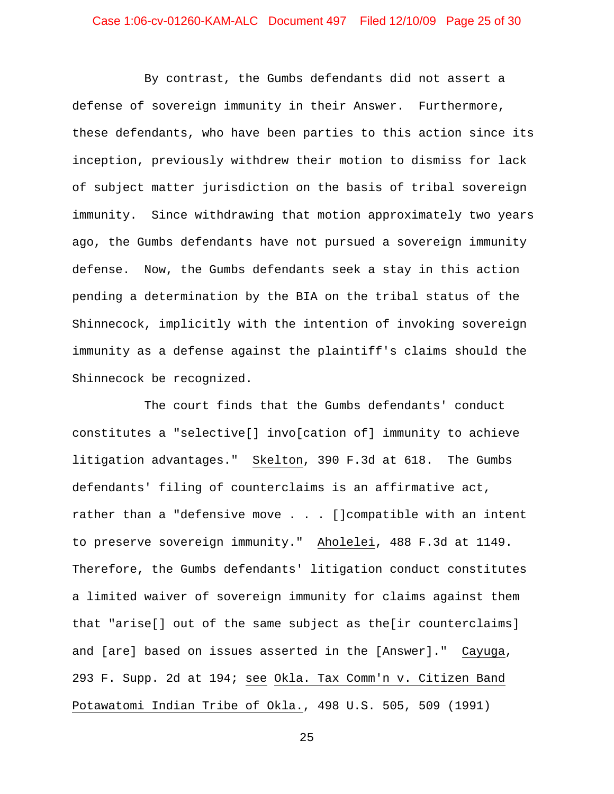# Case 1:06-cv-01260-KAM-ALC Document 497 Filed 12/10/09 Page 25 of 30

By contrast, the Gumbs defendants did not assert a defense of sovereign immunity in their Answer. Furthermore, these defendants, who have been parties to this action since its inception, previously withdrew their motion to dismiss for lack of subject matter jurisdiction on the basis of tribal sovereign immunity. Since withdrawing that motion approximately two years ago, the Gumbs defendants have not pursued a sovereign immunity defense. Now, the Gumbs defendants seek a stay in this action pending a determination by the BIA on the tribal status of the Shinnecock, implicitly with the intention of invoking sovereign immunity as a defense against the plaintiff's claims should the Shinnecock be recognized.

The court finds that the Gumbs defendants' conduct constitutes a "selective[] invo[cation of] immunity to achieve litigation advantages." Skelton, 390 F.3d at 618. The Gumbs defendants' filing of counterclaims is an affirmative act, rather than a "defensive move . . . []compatible with an intent to preserve sovereign immunity." Aholelei, 488 F.3d at 1149. Therefore, the Gumbs defendants' litigation conduct constitutes a limited waiver of sovereign immunity for claims against them that "arise[] out of the same subject as the[ir counterclaims] and [are] based on issues asserted in the [Answer]." Cayuga, 293 F. Supp. 2d at 194; see Okla. Tax Comm'n v. Citizen Band Potawatomi Indian Tribe of Okla., 498 U.S. 505, 509 (1991)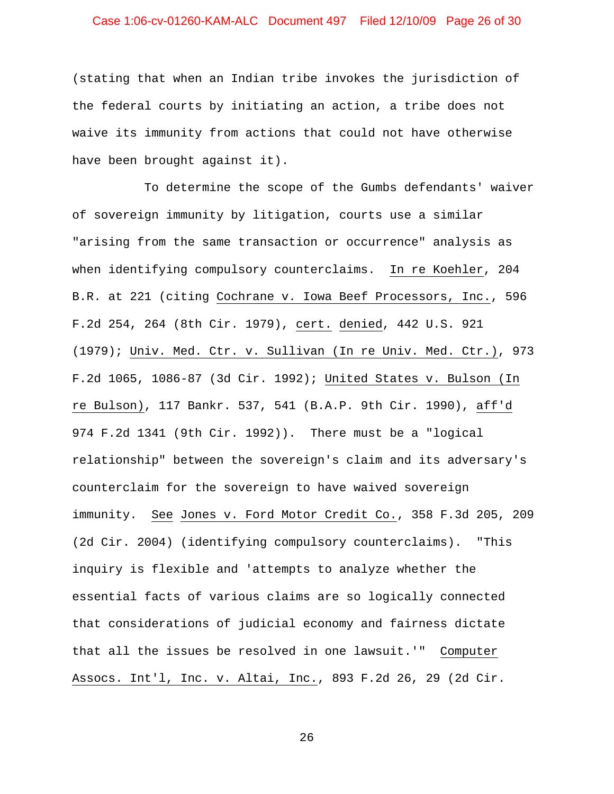# Case 1:06-cv-01260-KAM-ALC Document 497 Filed 12/10/09 Page 26 of 30

(stating that when an Indian tribe invokes the jurisdiction of the federal courts by initiating an action, a tribe does not waive its immunity from actions that could not have otherwise have been brought against it).

To determine the scope of the Gumbs defendants' waiver of sovereign immunity by litigation, courts use a similar "arising from the same transaction or occurrence" analysis as when identifying compulsory counterclaims. In re Koehler, 204 B.R. at 221 (citing Cochrane v. Iowa Beef Processors, Inc., 596 F.2d 254, 264 (8th Cir. 1979), cert. denied, 442 U.S. 921 (1979); Univ. Med. Ctr. v. Sullivan (In re Univ. Med. Ctr.), 973 F.2d 1065, 1086-87 (3d Cir. 1992); United States v. Bulson (In re Bulson), 117 Bankr. 537, 541 (B.A.P. 9th Cir. 1990), aff'd 974 F.2d 1341 (9th Cir. 1992)). There must be a "logical relationship" between the sovereign's claim and its adversary's counterclaim for the sovereign to have waived sovereign immunity. See Jones v. Ford Motor Credit Co., 358 F.3d 205, 209 (2d Cir. 2004) (identifying compulsory counterclaims). "This inquiry is flexible and 'attempts to analyze whether the essential facts of various claims are so logically connected that considerations of judicial economy and fairness dictate that all the issues be resolved in one lawsuit.'" Computer Assocs. Int'l, Inc. v. Altai, Inc., 893 F.2d 26, 29 (2d Cir.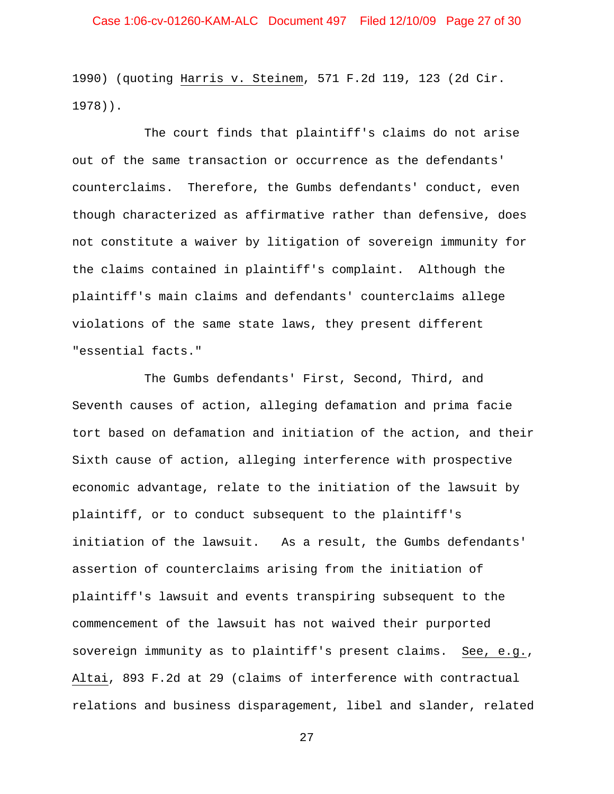1990) (quoting Harris v. Steinem, 571 F.2d 119, 123 (2d Cir. 1978)).

The court finds that plaintiff's claims do not arise out of the same transaction or occurrence as the defendants' counterclaims. Therefore, the Gumbs defendants' conduct, even though characterized as affirmative rather than defensive, does not constitute a waiver by litigation of sovereign immunity for the claims contained in plaintiff's complaint. Although the plaintiff's main claims and defendants' counterclaims allege violations of the same state laws, they present different "essential facts."

The Gumbs defendants' First, Second, Third, and Seventh causes of action, alleging defamation and prima facie tort based on defamation and initiation of the action, and their Sixth cause of action, alleging interference with prospective economic advantage, relate to the initiation of the lawsuit by plaintiff, or to conduct subsequent to the plaintiff's initiation of the lawsuit. As a result, the Gumbs defendants' assertion of counterclaims arising from the initiation of plaintiff's lawsuit and events transpiring subsequent to the commencement of the lawsuit has not waived their purported sovereign immunity as to plaintiff's present claims. See, e.g., Altai, 893 F.2d at 29 (claims of interference with contractual relations and business disparagement, libel and slander, related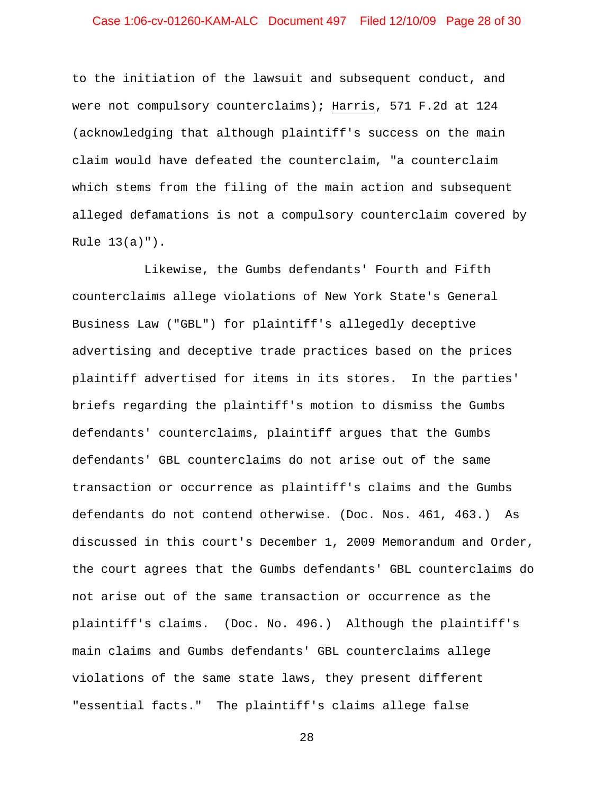# Case 1:06-cv-01260-KAM-ALC Document 497 Filed 12/10/09 Page 28 of 30

to the initiation of the lawsuit and subsequent conduct, and were not compulsory counterclaims); Harris, 571 F.2d at 124 (acknowledging that although plaintiff's success on the main claim would have defeated the counterclaim, "a counterclaim which stems from the filing of the main action and subsequent alleged defamations is not a compulsory counterclaim covered by Rule 13(a)").

Likewise, the Gumbs defendants' Fourth and Fifth counterclaims allege violations of New York State's General Business Law ("GBL") for plaintiff's allegedly deceptive advertising and deceptive trade practices based on the prices plaintiff advertised for items in its stores. In the parties' briefs regarding the plaintiff's motion to dismiss the Gumbs defendants' counterclaims, plaintiff argues that the Gumbs defendants' GBL counterclaims do not arise out of the same transaction or occurrence as plaintiff's claims and the Gumbs defendants do not contend otherwise. (Doc. Nos. 461, 463.) As discussed in this court's December 1, 2009 Memorandum and Order, the court agrees that the Gumbs defendants' GBL counterclaims do not arise out of the same transaction or occurrence as the plaintiff's claims. (Doc. No. 496.) Although the plaintiff's main claims and Gumbs defendants' GBL counterclaims allege violations of the same state laws, they present different "essential facts." The plaintiff's claims allege false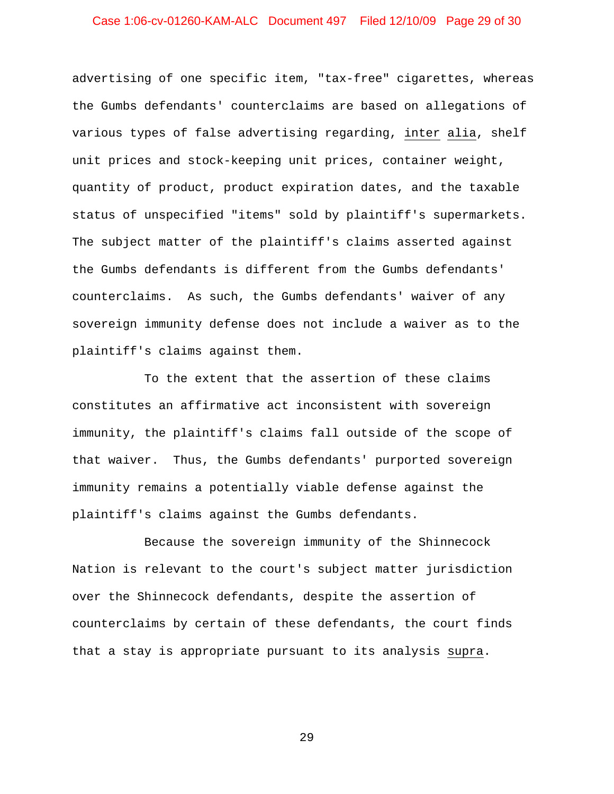# Case 1:06-cv-01260-KAM-ALC Document 497 Filed 12/10/09 Page 29 of 30

advertising of one specific item, "tax-free" cigarettes, whereas the Gumbs defendants' counterclaims are based on allegations of various types of false advertising regarding, inter alia, shelf unit prices and stock-keeping unit prices, container weight, quantity of product, product expiration dates, and the taxable status of unspecified "items" sold by plaintiff's supermarkets. The subject matter of the plaintiff's claims asserted against the Gumbs defendants is different from the Gumbs defendants' counterclaims. As such, the Gumbs defendants' waiver of any sovereign immunity defense does not include a waiver as to the plaintiff's claims against them.

To the extent that the assertion of these claims constitutes an affirmative act inconsistent with sovereign immunity, the plaintiff's claims fall outside of the scope of that waiver. Thus, the Gumbs defendants' purported sovereign immunity remains a potentially viable defense against the plaintiff's claims against the Gumbs defendants.

Because the sovereign immunity of the Shinnecock Nation is relevant to the court's subject matter jurisdiction over the Shinnecock defendants, despite the assertion of counterclaims by certain of these defendants, the court finds that a stay is appropriate pursuant to its analysis supra.